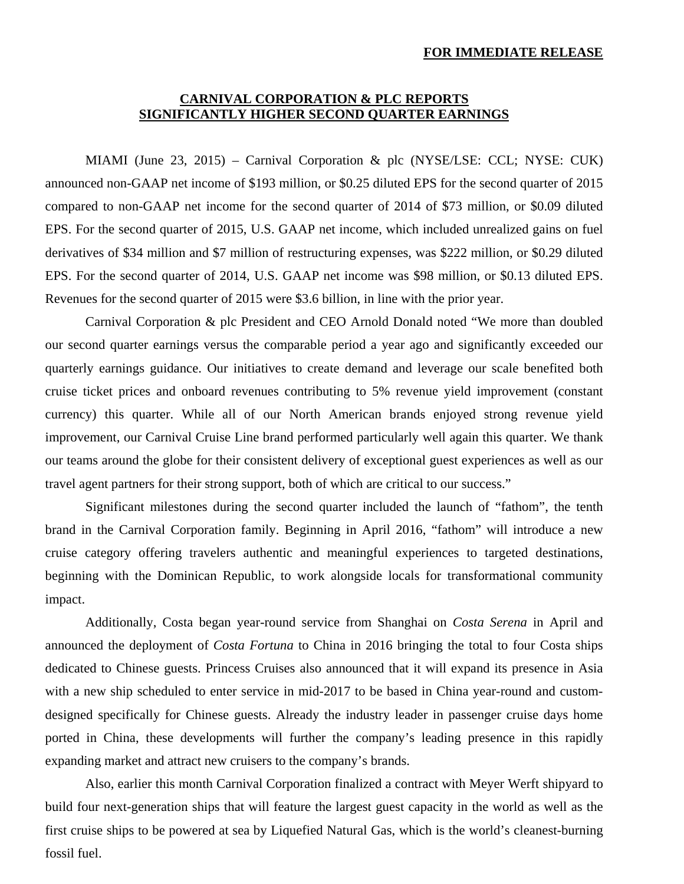### **FOR IMMEDIATE RELEASE**

# **CARNIVAL CORPORATION & PLC REPORTS SIGNIFICANTLY HIGHER SECOND QUARTER EARNINGS**

MIAMI (June 23, 2015) – Carnival Corporation & plc (NYSE/LSE: CCL; NYSE: CUK) announced non-GAAP net income of \$193 million, or \$0.25 diluted EPS for the second quarter of 2015 compared to non-GAAP net income for the second quarter of 2014 of \$73 million, or \$0.09 diluted EPS. For the second quarter of 2015, U.S. GAAP net income, which included unrealized gains on fuel derivatives of \$34 million and \$7 million of restructuring expenses, was \$222 million, or \$0.29 diluted EPS. For the second quarter of 2014, U.S. GAAP net income was \$98 million, or \$0.13 diluted EPS. Revenues for the second quarter of 2015 were \$3.6 billion, in line with the prior year.

Carnival Corporation & plc President and CEO Arnold Donald noted "We more than doubled our second quarter earnings versus the comparable period a year ago and significantly exceeded our quarterly earnings guidance. Our initiatives to create demand and leverage our scale benefited both cruise ticket prices and onboard revenues contributing to 5% revenue yield improvement (constant currency) this quarter. While all of our North American brands enjoyed strong revenue yield improvement, our Carnival Cruise Line brand performed particularly well again this quarter. We thank our teams around the globe for their consistent delivery of exceptional guest experiences as well as our travel agent partners for their strong support, both of which are critical to our success."

Significant milestones during the second quarter included the launch of "fathom", the tenth brand in the Carnival Corporation family. Beginning in April 2016, "fathom" will introduce a new cruise category offering travelers authentic and meaningful experiences to targeted destinations, beginning with the Dominican Republic, to work alongside locals for transformational community impact.

Additionally, Costa began year-round service from Shanghai on *Costa Serena* in April and announced the deployment of *Costa Fortuna* to China in 2016 bringing the total to four Costa ships dedicated to Chinese guests. Princess Cruises also announced that it will expand its presence in Asia with a new ship scheduled to enter service in mid-2017 to be based in China year-round and customdesigned specifically for Chinese guests. Already the industry leader in passenger cruise days home ported in China, these developments will further the company's leading presence in this rapidly expanding market and attract new cruisers to the company's brands.

Also, earlier this month Carnival Corporation finalized a contract with Meyer Werft shipyard to build four next-generation ships that will feature the largest guest capacity in the world as well as the first cruise ships to be powered at sea by Liquefied Natural Gas, which is the world's cleanest-burning fossil fuel.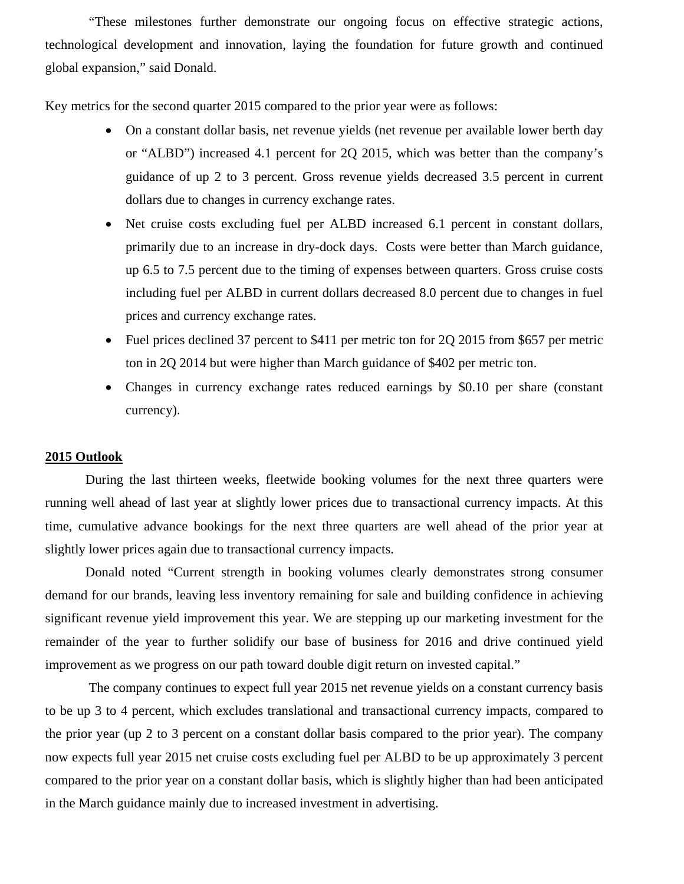"These milestones further demonstrate our ongoing focus on effective strategic actions, technological development and innovation, laying the foundation for future growth and continued global expansion," said Donald.

Key metrics for the second quarter 2015 compared to the prior year were as follows:

- On a constant dollar basis, net revenue yields (net revenue per available lower berth day or "ALBD") increased 4.1 percent for 2Q 2015, which was better than the company's guidance of up 2 to 3 percent. Gross revenue yields decreased 3.5 percent in current dollars due to changes in currency exchange rates.
- Net cruise costs excluding fuel per ALBD increased 6.1 percent in constant dollars, primarily due to an increase in dry-dock days. Costs were better than March guidance, up 6.5 to 7.5 percent due to the timing of expenses between quarters. Gross cruise costs including fuel per ALBD in current dollars decreased 8.0 percent due to changes in fuel prices and currency exchange rates.
- Fuel prices declined 37 percent to \$411 per metric ton for 2Q 2015 from \$657 per metric ton in 2Q 2014 but were higher than March guidance of \$402 per metric ton.
- Changes in currency exchange rates reduced earnings by \$0.10 per share (constant currency).

# **2015 Outlook**

During the last thirteen weeks, fleetwide booking volumes for the next three quarters were running well ahead of last year at slightly lower prices due to transactional currency impacts. At this time, cumulative advance bookings for the next three quarters are well ahead of the prior year at slightly lower prices again due to transactional currency impacts.

Donald noted "Current strength in booking volumes clearly demonstrates strong consumer demand for our brands, leaving less inventory remaining for sale and building confidence in achieving significant revenue yield improvement this year. We are stepping up our marketing investment for the remainder of the year to further solidify our base of business for 2016 and drive continued yield improvement as we progress on our path toward double digit return on invested capital."

 The company continues to expect full year 2015 net revenue yields on a constant currency basis to be up 3 to 4 percent, which excludes translational and transactional currency impacts, compared to the prior year (up 2 to 3 percent on a constant dollar basis compared to the prior year). The company now expects full year 2015 net cruise costs excluding fuel per ALBD to be up approximately 3 percent compared to the prior year on a constant dollar basis, which is slightly higher than had been anticipated in the March guidance mainly due to increased investment in advertising.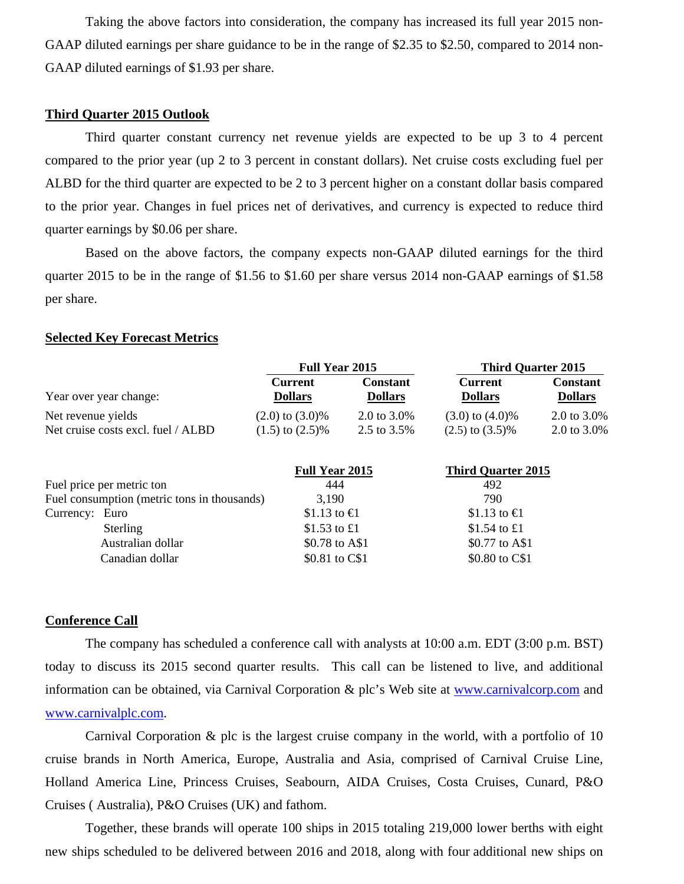Taking the above factors into consideration, the company has increased its full year 2015 non-GAAP diluted earnings per share guidance to be in the range of \$2.35 to \$2.50, compared to 2014 non-GAAP diluted earnings of \$1.93 per share.

## **Third Quarter 2015 Outlook**

Third quarter constant currency net revenue yields are expected to be up 3 to 4 percent compared to the prior year (up 2 to 3 percent in constant dollars). Net cruise costs excluding fuel per ALBD for the third quarter are expected to be 2 to 3 percent higher on a constant dollar basis compared to the prior year. Changes in fuel prices net of derivatives, and currency is expected to reduce third quarter earnings by \$0.06 per share.

Based on the above factors, the company expects non-GAAP diluted earnings for the third quarter 2015 to be in the range of \$1.56 to \$1.60 per share versus 2014 non-GAAP earnings of \$1.58 per share.

## **Selected Key Forecast Metrics**

|                    |                                             | <b>Full Year 2015</b>            |                                   | <b>Third Quarter 2015</b>        |                                   |  |  |
|--------------------|---------------------------------------------|----------------------------------|-----------------------------------|----------------------------------|-----------------------------------|--|--|
|                    | Year over year change:                      | <b>Current</b><br><b>Dollars</b> | <b>Constant</b><br><b>Dollars</b> | <b>Current</b><br><b>Dollars</b> | <b>Constant</b><br><b>Dollars</b> |  |  |
| Net revenue yields |                                             | $(2.0)$ to $(3.0)\%$             | 2.0 to $3.0\%$                    | $(3.0)$ to $(4.0)\%$             | 2.0 to 3.0%                       |  |  |
|                    | Net cruise costs excl. fuel / ALBD          | $(1.5)$ to $(2.5)\%$             | 2.5 to 3.5%                       | $(2.5)$ to $(3.5)\%$             | 2.0 to 3.0%                       |  |  |
|                    |                                             | <b>Full Year 2015</b>            |                                   | <b>Third Quarter 2015</b>        |                                   |  |  |
|                    | Fuel price per metric ton                   | 444                              |                                   | 492                              |                                   |  |  |
|                    | Fuel consumption (metric tons in thousands) | 3,190                            |                                   | 790                              |                                   |  |  |
| Currency: Euro     |                                             | \$1.13 to $\bigoplus$            |                                   | \$1.13 to $\bigoplus$            |                                   |  |  |
|                    | Sterling                                    | \$1.53 to £1                     |                                   | \$1.54 to £1                     |                                   |  |  |
|                    | Australian dollar                           | \$0.78 to A\$1                   |                                   | \$0.77 to A\$1                   |                                   |  |  |
|                    | Canadian dollar                             | \$0.81 to C\$1                   |                                   | \$0.80 to C\$1                   |                                   |  |  |

## **Conference Call**

The company has scheduled a conference call with analysts at 10:00 a.m. EDT (3:00 p.m. BST) today to discuss its 2015 second quarter results. This call can be listened to live, and additional information can be obtained, via Carnival Corporation & plc's Web site at www.carnivalcorp.com and www.carnivalplc.com.

Carnival Corporation & plc is the largest cruise company in the world, with a portfolio of 10 cruise brands in North America, Europe, Australia and Asia, comprised of Carnival Cruise Line, Holland America Line, Princess Cruises, Seabourn, AIDA Cruises, Costa Cruises, Cunard, P&O Cruises ( Australia), P&O Cruises (UK) and fathom.

Together, these brands will operate 100 ships in 2015 totaling 219,000 lower berths with eight new ships scheduled to be delivered between 2016 and 2018, along with four additional new ships on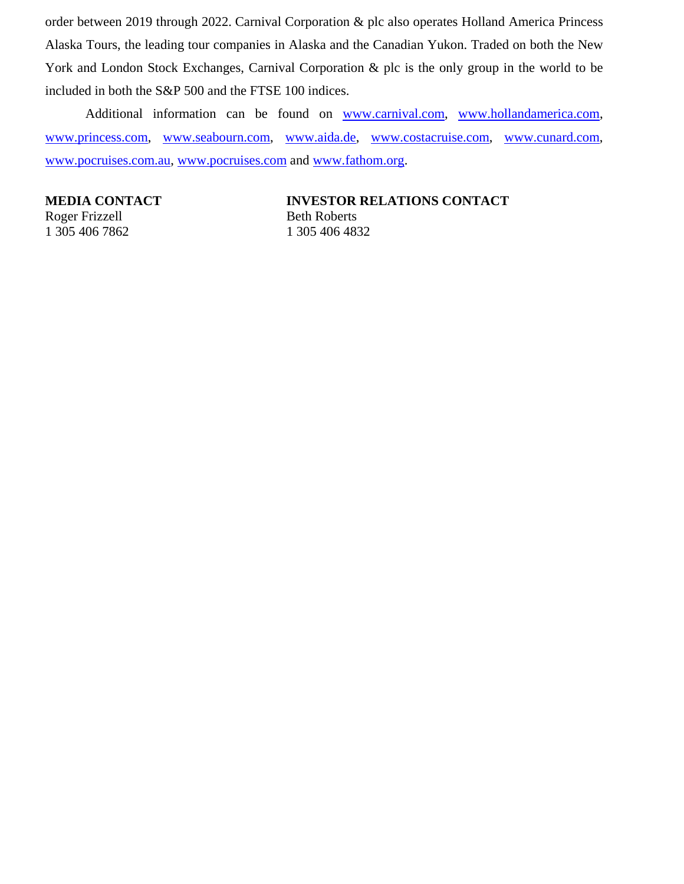order between 2019 through 2022. Carnival Corporation & plc also operates Holland America Princess Alaska Tours, the leading tour companies in Alaska and the Canadian Yukon. Traded on both the New York and London Stock Exchanges, Carnival Corporation & plc is the only group in the world to be included in both the S&P 500 and the FTSE 100 indices.

Additional information can be found on www.carnival.com, www.hollandamerica.com, www.princess.com, www.seabourn.com, www.aida.de, www.costacruise.com, www.cunard.com, www.pocruises.com.au, www.pocruises.com and www.fathom.org.

Roger Frizzell Beth Roberts 1 305 406 7862 1 305 406 4832

**MEDIA CONTACT MEDIA CONTACT RELATIONS CONTACT**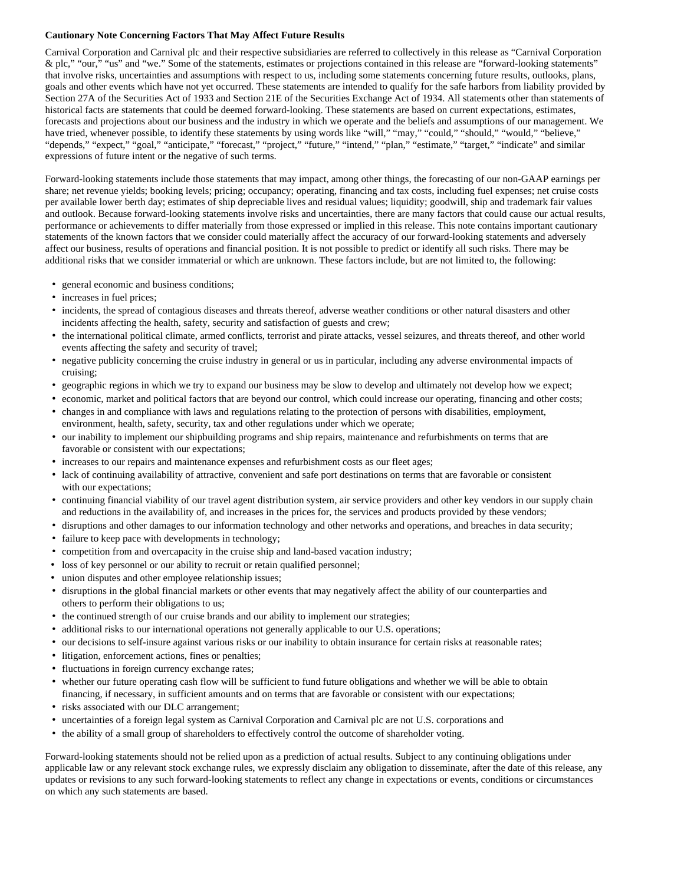#### **Cautionary Note Concerning Factors That May Affect Future Results**

Carnival Corporation and Carnival plc and their respective subsidiaries are referred to collectively in this release as "Carnival Corporation & plc," "our," "us" and "we." Some of the statements, estimates or projections contained in this release are "forward-looking statements" that involve risks, uncertainties and assumptions with respect to us, including some statements concerning future results, outlooks, plans, goals and other events which have not yet occurred. These statements are intended to qualify for the safe harbors from liability provided by Section 27A of the Securities Act of 1933 and Section 21E of the Securities Exchange Act of 1934. All statements other than statements of historical facts are statements that could be deemed forward-looking. These statements are based on current expectations, estimates, forecasts and projections about our business and the industry in which we operate and the beliefs and assumptions of our management. We have tried, whenever possible, to identify these statements by using words like "will," "may," "could," "should," "would," "believe," "depends," "expect," "goal," "anticipate," "forecast," "project," "future," "intend," "plan," "estimate," "target," "indicate" and similar expressions of future intent or the negative of such terms.

Forward-looking statements include those statements that may impact, among other things, the forecasting of our non-GAAP earnings per share; net revenue yields; booking levels; pricing; occupancy; operating, financing and tax costs, including fuel expenses; net cruise costs per available lower berth day; estimates of ship depreciable lives and residual values; liquidity; goodwill, ship and trademark fair values and outlook. Because forward-looking statements involve risks and uncertainties, there are many factors that could cause our actual results, performance or achievements to differ materially from those expressed or implied in this release. This note contains important cautionary statements of the known factors that we consider could materially affect the accuracy of our forward-looking statements and adversely affect our business, results of operations and financial position. It is not possible to predict or identify all such risks. There may be additional risks that we consider immaterial or which are unknown. These factors include, but are not limited to, the following:

- general economic and business conditions;
- increases in fuel prices;
- incidents, the spread of contagious diseases and threats thereof, adverse weather conditions or other natural disasters and other incidents affecting the health, safety, security and satisfaction of guests and crew;
- the international political climate, armed conflicts, terrorist and pirate attacks, vessel seizures, and threats thereof, and other world events affecting the safety and security of travel;
- negative publicity concerning the cruise industry in general or us in particular, including any adverse environmental impacts of cruising;
- geographic regions in which we try to expand our business may be slow to develop and ultimately not develop how we expect;
- economic, market and political factors that are beyond our control, which could increase our operating, financing and other costs;
- changes in and compliance with laws and regulations relating to the protection of persons with disabilities, employment, environment, health, safety, security, tax and other regulations under which we operate;
- our inability to implement our shipbuilding programs and ship repairs, maintenance and refurbishments on terms that are favorable or consistent with our expectations;
- increases to our repairs and maintenance expenses and refurbishment costs as our fleet ages;
- lack of continuing availability of attractive, convenient and safe port destinations on terms that are favorable or consistent with our expectations;
- continuing financial viability of our travel agent distribution system, air service providers and other key vendors in our supply chain and reductions in the availability of, and increases in the prices for, the services and products provided by these vendors;
- disruptions and other damages to our information technology and other networks and operations, and breaches in data security;
- failure to keep pace with developments in technology;
- competition from and overcapacity in the cruise ship and land-based vacation industry;
- loss of key personnel or our ability to recruit or retain qualified personnel;
- union disputes and other employee relationship issues;
- disruptions in the global financial markets or other events that may negatively affect the ability of our counterparties and others to perform their obligations to us;
- the continued strength of our cruise brands and our ability to implement our strategies;
- additional risks to our international operations not generally applicable to our U.S. operations;
- our decisions to self-insure against various risks or our inability to obtain insurance for certain risks at reasonable rates;
- litigation, enforcement actions, fines or penalties;
- fluctuations in foreign currency exchange rates;
- whether our future operating cash flow will be sufficient to fund future obligations and whether we will be able to obtain financing, if necessary, in sufficient amounts and on terms that are favorable or consistent with our expectations;
- risks associated with our DLC arrangement;
- uncertainties of a foreign legal system as Carnival Corporation and Carnival plc are not U.S. corporations and
- the ability of a small group of shareholders to effectively control the outcome of shareholder voting.

Forward-looking statements should not be relied upon as a prediction of actual results. Subject to any continuing obligations under applicable law or any relevant stock exchange rules, we expressly disclaim any obligation to disseminate, after the date of this release, any updates or revisions to any such forward-looking statements to reflect any change in expectations or events, conditions or circumstances on which any such statements are based.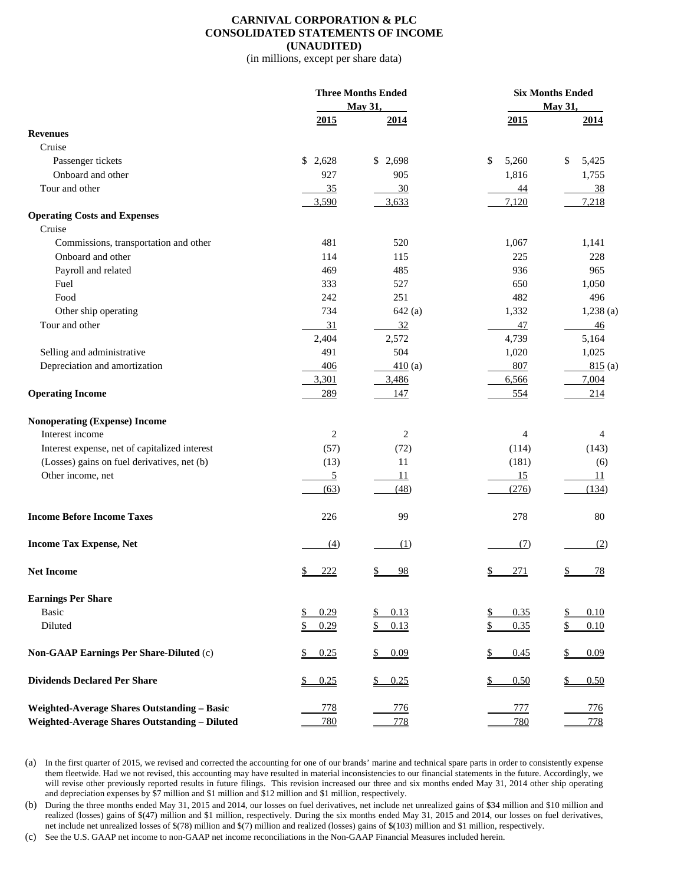#### **CARNIVAL CORPORATION & PLC CONSOLIDATED STATEMENTS OF INCOME (UNAUDITED)**

(in millions, except per share data)

|                                                    |                   | <b>Three Months Ended</b><br>May 31, |                  | <b>Six Months Ended</b><br>May 31, |
|----------------------------------------------------|-------------------|--------------------------------------|------------------|------------------------------------|
|                                                    | 2015              | 2014                                 | 2015             | 2014                               |
| <b>Revenues</b>                                    |                   |                                      |                  |                                    |
| Cruise                                             |                   |                                      |                  |                                    |
| Passenger tickets                                  | \$2,628           | \$2,698                              | \$<br>5,260      | 5,425<br>\$                        |
| Onboard and other                                  | 927               | 905                                  | 1,816            | 1,755                              |
| Tour and other                                     | 35                | 30                                   | 44               | 38                                 |
|                                                    | 3,590             | 3,633                                | 7,120            | 7,218                              |
| <b>Operating Costs and Expenses</b>                |                   |                                      |                  |                                    |
| Cruise                                             |                   |                                      |                  |                                    |
| Commissions, transportation and other              | 481               | 520                                  | 1,067            | 1,141                              |
| Onboard and other                                  | 114               | 115                                  | 225              | 228                                |
| Payroll and related                                | 469               | 485                                  | 936              | 965                                |
| Fuel                                               | 333               | 527                                  | 650              | 1,050                              |
| Food                                               | 242               | 251                                  | 482              | 496                                |
| Other ship operating                               | 734               | 642(a)                               | 1,332            | $1,238$ (a)                        |
| Tour and other                                     | 31                | 32                                   | 47               | 46                                 |
|                                                    | 2,404             | 2,572                                | 4,739            | 5,164                              |
| Selling and administrative                         | 491               | 504                                  | 1,020            | 1,025                              |
| Depreciation and amortization                      | 406               | 410(a)                               | 807              | 815(a)                             |
|                                                    | 3,301             | 3,486                                | 6,566            | 7,004                              |
| <b>Operating Income</b>                            | 289               | 147                                  | 554              | 214                                |
|                                                    |                   |                                      |                  |                                    |
| <b>Nonoperating (Expense) Income</b>               |                   |                                      |                  |                                    |
| Interest income                                    | $\overline{c}$    | $\overline{2}$                       | 4                | $\overline{4}$                     |
| Interest expense, net of capitalized interest      | (57)              | (72)                                 | (114)            | (143)                              |
| (Losses) gains on fuel derivatives, net (b)        | (13)              | 11                                   | (181)            | (6)                                |
| Other income, net                                  | <u>5</u>          | 11                                   | 15               | 11                                 |
|                                                    | (63)              | (48)                                 | (276)            | (134)                              |
|                                                    |                   |                                      |                  |                                    |
| <b>Income Before Income Taxes</b>                  | 226               | 99                                   | 278              | 80                                 |
| <b>Income Tax Expense, Net</b>                     | (4)               | (1)                                  | (7)              | (2)                                |
| <b>Net Income</b>                                  | 222               | 98                                   | <u>271</u><br>\$ | <u>78</u>                          |
| <b>Earnings Per Share</b>                          |                   |                                      |                  |                                    |
| <b>Basic</b>                                       | 0.29<br><u>\$</u> | 0.13                                 | 0.35             | 0.10                               |
| Diluted                                            | \$<br>0.29        | 0.13<br>\$                           | 0.35<br>\$       | <u>\$</u><br>0.10                  |
|                                                    |                   |                                      |                  |                                    |
| Non-GAAP Earnings Per Share-Diluted (c)            | 0.25<br>\$        | \$<br>0.09                           | \$<br>0.45       | \$<br>0.09                         |
| <b>Dividends Declared Per Share</b>                | 0.25<br>\$        | 0.25<br>\$                           | \$<br>0.50       | 0.50                               |
|                                                    |                   |                                      |                  |                                    |
| <b>Weighted-Average Shares Outstanding - Basic</b> | 778               | 776                                  | 777              | 776                                |
| Weighted-Average Shares Outstanding - Diluted      | 780               | 778                                  | 780              | 778                                |

(a) In the first quarter of 2015, we revised and corrected the accounting for one of our brands' marine and technical spare parts in order to consistently expense them fleetwide. Had we not revised, this accounting may have resulted in material inconsistencies to our financial statements in the future. Accordingly, we will revise other previously reported results in future filings. This revision increased our three and six months ended May 31, 2014 other ship operating and depreciation expenses by \$7 million and \$1 million and \$12 million and \$1 million, respectively.

(b) During the three months ended May 31, 2015 and 2014, our losses on fuel derivatives, net include net unrealized gains of \$34 million and \$10 million and realized (losses) gains of \$(47) million and \$1 million, respectively. During the six months ended May 31, 2015 and 2014, our losses on fuel derivatives, net include net unrealized losses of \$(78) million and \$(7) million and realized (losses) gains of \$(103) million and \$1 million, respectively.

(c) See the U.S. GAAP net income to non-GAAP net income reconciliations in the Non-GAAP Financial Measures included herein.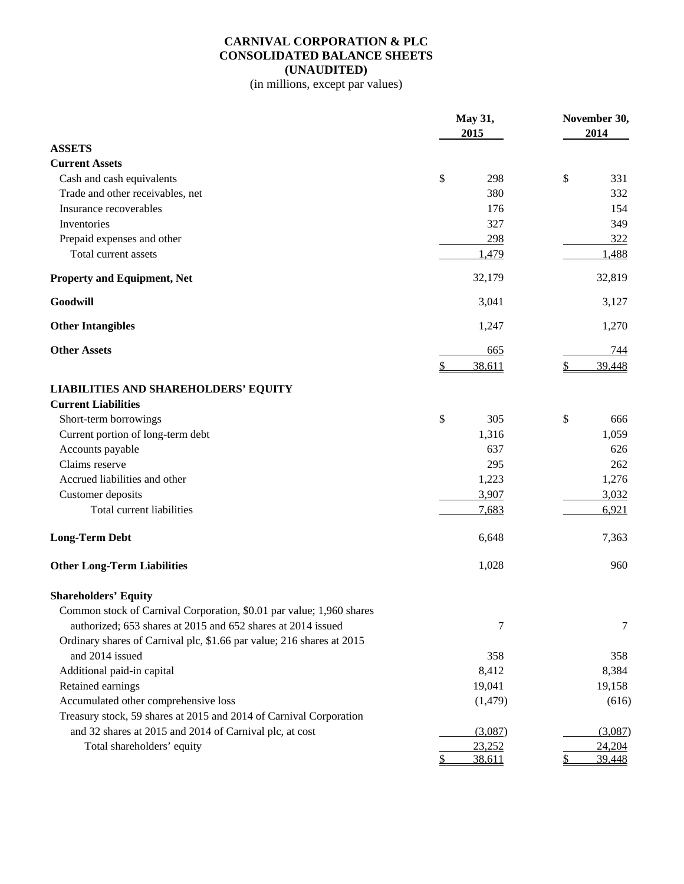# **CARNIVAL CORPORATION & PLC CONSOLIDATED BALANCE SHEETS (UNAUDITED)**

(in millions, except par values)

|                                                                       | May 31,<br>2015 | November 30,<br>2014 |  |  |
|-----------------------------------------------------------------------|-----------------|----------------------|--|--|
| <b>ASSETS</b>                                                         |                 |                      |  |  |
| <b>Current Assets</b>                                                 |                 |                      |  |  |
| Cash and cash equivalents                                             | \$<br>298       | \$<br>331            |  |  |
| Trade and other receivables, net                                      | 380             | 332                  |  |  |
| Insurance recoverables                                                | 176             | 154                  |  |  |
| Inventories                                                           | 327             | 349                  |  |  |
| Prepaid expenses and other                                            | 298             | 322                  |  |  |
| Total current assets                                                  | 1,479           | 1,488                |  |  |
| <b>Property and Equipment, Net</b>                                    | 32,179          | 32,819               |  |  |
| Goodwill                                                              | 3,041           | 3,127                |  |  |
| <b>Other Intangibles</b>                                              | 1,247           | 1,270                |  |  |
| <b>Other Assets</b>                                                   | 665             | 744                  |  |  |
|                                                                       | \$<br>38,611    | 39,448<br>\$         |  |  |
| <b>LIABILITIES AND SHAREHOLDERS' EQUITY</b>                           |                 |                      |  |  |
| <b>Current Liabilities</b>                                            |                 |                      |  |  |
| Short-term borrowings                                                 | \$<br>305       | \$<br>666            |  |  |
| Current portion of long-term debt                                     | 1,316           | 1,059                |  |  |
| Accounts payable                                                      | 637             | 626                  |  |  |
| Claims reserve                                                        | 295             | 262                  |  |  |
| Accrued liabilities and other                                         | 1,223           | 1,276                |  |  |
| Customer deposits                                                     | 3,907           | 3,032                |  |  |
| Total current liabilities                                             | 7,683           | 6,921                |  |  |
| <b>Long-Term Debt</b>                                                 | 6,648           | 7,363                |  |  |
| <b>Other Long-Term Liabilities</b>                                    | 1,028           | 960                  |  |  |
| <b>Shareholders' Equity</b>                                           |                 |                      |  |  |
| Common stock of Carnival Corporation, \$0.01 par value; 1,960 shares  |                 |                      |  |  |
| authorized; 653 shares at 2015 and 652 shares at 2014 issued          | 7               | 7                    |  |  |
| Ordinary shares of Carnival plc, \$1.66 par value; 216 shares at 2015 |                 |                      |  |  |
| and 2014 issued                                                       | 358             | 358                  |  |  |
| Additional paid-in capital                                            | 8,412           | 8,384                |  |  |
| Retained earnings                                                     | 19,041          | 19,158               |  |  |
| Accumulated other comprehensive loss                                  | (1, 479)        | (616)                |  |  |
| Treasury stock, 59 shares at 2015 and 2014 of Carnival Corporation    |                 |                      |  |  |
| and 32 shares at 2015 and 2014 of Carnival plc, at cost               | (3,087)         | (3,087)              |  |  |
| Total shareholders' equity                                            | 23,252          | 24,204               |  |  |
|                                                                       | 38,611<br>\$    | \$<br>39,448         |  |  |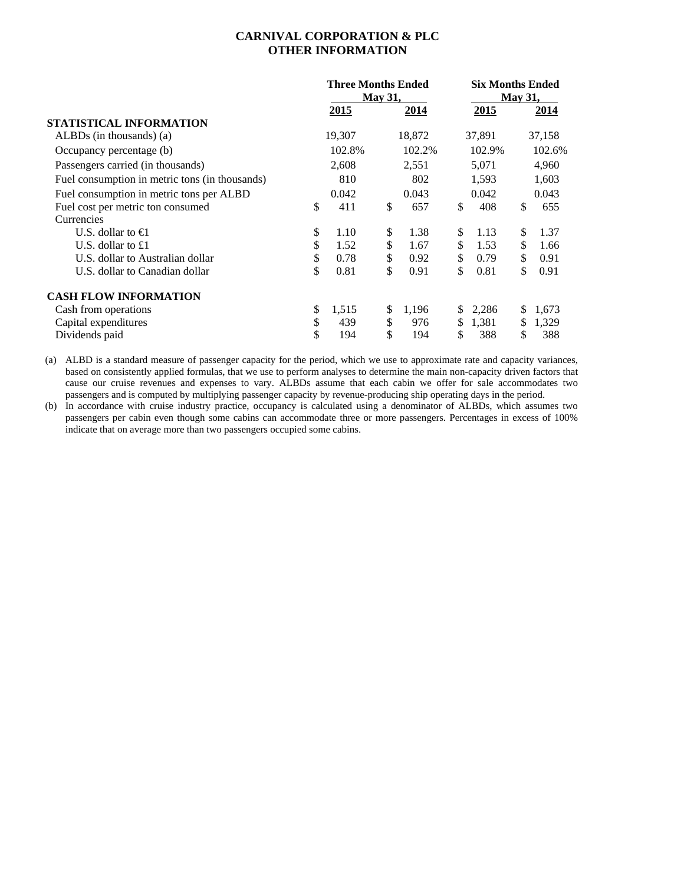## **CARNIVAL CORPORATION & PLC OTHER INFORMATION**

|                                                | <b>Three Months Ended</b><br><b>May 31,</b> |        |    |        |    | <b>Six Months Ended</b><br><b>May 31,</b> |    |        |  |
|------------------------------------------------|---------------------------------------------|--------|----|--------|----|-------------------------------------------|----|--------|--|
|                                                |                                             | 2015   |    | 2014   |    | 2015                                      |    | 2014   |  |
| STATISTICAL INFORMATION                        |                                             |        |    |        |    |                                           |    |        |  |
| $ALBDs$ (in thousands) (a)                     |                                             | 19,307 |    | 18,872 |    | 37,891                                    |    | 37,158 |  |
| Occupancy percentage (b)                       |                                             | 102.8% |    | 102.2% |    | 102.9%                                    |    | 102.6% |  |
| Passengers carried (in thousands)              |                                             | 2,608  |    | 2,551  |    | 5,071                                     |    | 4,960  |  |
| Fuel consumption in metric tons (in thousands) |                                             | 810    |    | 802    |    | 1,593                                     |    | 1,603  |  |
| Fuel consumption in metric tons per ALBD       |                                             | 0.042  |    | 0.043  |    | 0.042                                     |    | 0.043  |  |
| Fuel cost per metric ton consumed              | \$                                          | 411    | \$ | 657    | \$ | 408                                       | \$ | 655    |  |
| Currencies                                     |                                             |        |    |        |    |                                           |    |        |  |
| U.S. dollar to $\bigoplus$                     | \$                                          | 1.10   | \$ | 1.38   | \$ | 1.13                                      | \$ | 1.37   |  |
| U.S. dollar to $£1$                            | \$                                          | 1.52   | \$ | 1.67   | \$ | 1.53                                      | \$ | 1.66   |  |
| U.S. dollar to Australian dollar               | \$                                          | 0.78   | \$ | 0.92   | \$ | 0.79                                      | \$ | 0.91   |  |
| U.S. dollar to Canadian dollar                 | \$                                          | 0.81   | \$ | 0.91   | \$ | 0.81                                      | \$ | 0.91   |  |
| <b>CASH FLOW INFORMATION</b>                   |                                             |        |    |        |    |                                           |    |        |  |
| Cash from operations                           | \$                                          | 1,515  | \$ | 1,196  | \$ | 2,286                                     | \$ | 1,673  |  |
| Capital expenditures                           | \$                                          | 439    | \$ | 976    | \$ | 1,381                                     | \$ | 1,329  |  |
| Dividends paid                                 | \$                                          | 194    | \$ | 194    | \$ | 388                                       | \$ | 388    |  |

(a) ALBD is a standard measure of passenger capacity for the period, which we use to approximate rate and capacity variances, based on consistently applied formulas, that we use to perform analyses to determine the main non-capacity driven factors that cause our cruise revenues and expenses to vary. ALBDs assume that each cabin we offer for sale accommodates two passengers and is computed by multiplying passenger capacity by revenue-producing ship operating days in the period.

(b) In accordance with cruise industry practice, occupancy is calculated using a denominator of ALBDs, which assumes two passengers per cabin even though some cabins can accommodate three or more passengers. Percentages in excess of 100% indicate that on average more than two passengers occupied some cabins.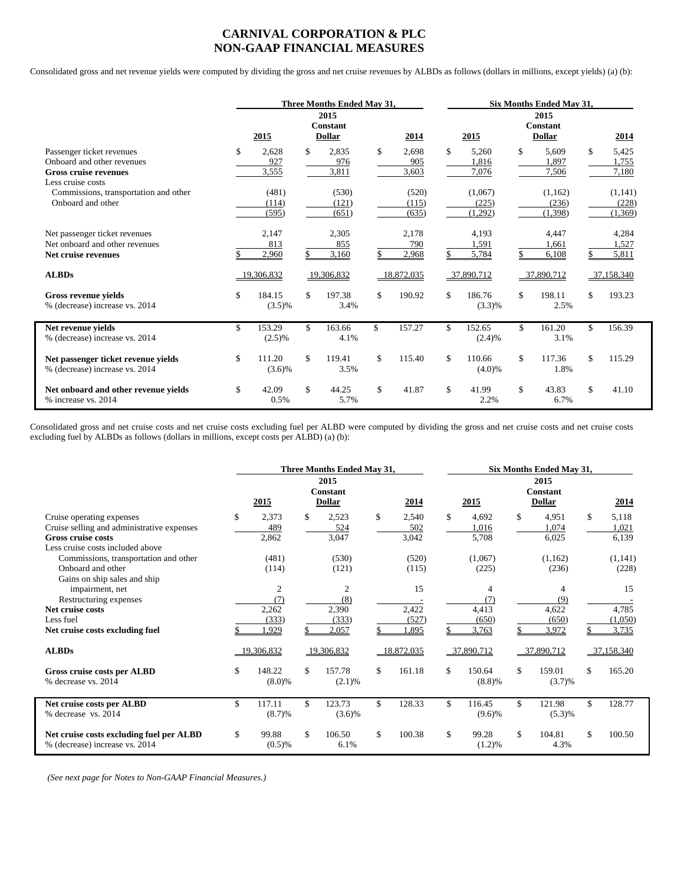## **CARNIVAL CORPORATION & PLC NON-GAAP FINANCIAL MEASURES**

Consolidated gross and net revenue yields were computed by dividing the gross and net cruise revenues by ALBDs as follows (dollars in millions, except yields) (a) (b):

|                                                                                                              | Three Months Ended May 31. |                         |     |                                   | Six Months Ended May 31,    |    |                             |    |                                          |               |                             |
|--------------------------------------------------------------------------------------------------------------|----------------------------|-------------------------|-----|-----------------------------------|-----------------------------|----|-----------------------------|----|------------------------------------------|---------------|-----------------------------|
|                                                                                                              |                            | 2015                    |     | 2015<br>Constant<br><b>Dollar</b> | 2014                        |    | 2015                        |    | 2015<br><b>Constant</b><br><b>Dollar</b> |               | 2014                        |
| Passenger ticket revenues<br>Onboard and other revenues<br><b>Gross cruise revenues</b><br>Less cruise costs | \$                         | 2.628<br>927<br>3,555   | \$  | 2.835<br>976<br>3,811             | \$<br>2.698<br>905<br>3,603 | \$ | 5.260<br>1.816<br>7,076     | \$ | 5.609<br>1.897<br>7,506                  | \$            | 5,425<br>1.755<br>7,180     |
| Commissions, transportation and other<br>Onboard and other                                                   |                            | (481)<br>(114)<br>(595) |     | (530)<br>(121)<br>(651)           | (520)<br>(115)<br>(635)     |    | (1,067)<br>(225)<br>(1,292) |    | (1,162)<br>(236)<br>(1,398)              |               | (1,141)<br>(228)<br>(1,369) |
| Net passenger ticket revenues<br>Net onboard and other revenues<br>Net cruise revenues                       |                            | 2,147<br>813<br>2,960   |     | 2,305<br>855<br>3,160             | 2,178<br>790<br>2,968       |    | 4,193<br>1,591<br>5,784     |    | 4,447<br>1,661<br>6,108                  |               | 4,284<br>1,527<br>5,811     |
| <b>ALBDs</b>                                                                                                 |                            | 19,306,832              |     | 19,306,832                        | 18,872,035                  |    | 37,890,712                  |    | 37,890,712                               |               | 37,158,340                  |
| Gross revenue vields<br>% (decrease) increase vs. 2014                                                       | \$                         | 184.15<br>$(3.5)\%$     | \$  | 197.38<br>3.4%                    | \$<br>190.92                | \$ | 186.76<br>(3.3)%            | \$ | 198.11<br>2.5%                           | \$            | 193.23                      |
| Net revenue yields<br>% (decrease) increase vs. 2014                                                         | \$                         | 153.29<br>$(2.5)\%$     | \$. | 163.66<br>4.1%                    | \$<br>157.27                | \$ | 152.65<br>(2.4)%            | \$ | 161.20<br>3.1%                           | \$            | 156.39                      |
| Net passenger ticket revenue yields<br>% (decrease) increase vs. 2014                                        | \$                         | 111.20<br>$(3.6)\%$     | \$  | 119.41<br>3.5%                    | \$<br>115.40                | \$ | 110.66<br>$(4.0)\%$         | \$ | 117.36<br>1.8%                           | $\mathcal{S}$ | 115.29                      |
| Net onboard and other revenue vields<br>% increase vs. 2014                                                  | $\mathcal{S}$              | 42.09<br>0.5%           | \$  | 44.25<br>5.7%                     | \$<br>41.87                 | \$ | 41.99<br>2.2%               | \$ | 43.83<br>6.7%                            | $\mathcal{S}$ | 41.10                       |

Consolidated gross and net cruise costs and net cruise costs excluding fuel per ALBD were computed by dividing the gross and net cruise costs and net cruise costs excluding fuel by ALBDs as follows (dollars in millions, except costs per ALBD) (a) (b):

|                                                                                                                                          | Three Months Ended May 31, |                                         |     |                                          |    | Six Months Ended May 31, |    |                            |     |                                   |    |                         |
|------------------------------------------------------------------------------------------------------------------------------------------|----------------------------|-----------------------------------------|-----|------------------------------------------|----|--------------------------|----|----------------------------|-----|-----------------------------------|----|-------------------------|
|                                                                                                                                          |                            | 2015                                    |     | 2015<br><b>Constant</b><br><b>Dollar</b> |    | 2014                     |    | 2015                       |     | 2015<br><b>Constant</b><br>Dollar |    | 2014                    |
| Cruise operating expenses<br>Cruise selling and administrative expenses<br><b>Gross cruise costs</b><br>Less cruise costs included above | \$                         | 2,373<br>489<br>2,862                   | \$  | 2,523<br>524<br>3,047                    | \$ | 2,540<br>502<br>3,042    | \$ | 4.692<br>1,016<br>5,708    | \$  | 4,951<br>1,074<br>6,025           | \$ | 5,118<br>1,021<br>6,139 |
| Commissions, transportation and other<br>Onboard and other<br>Gains on ship sales and ship                                               |                            | (481)<br>(114)                          |     | (530)<br>(121)                           |    | (520)<br>(115)           |    | (1,067)<br>(225)           |     | (1,162)<br>(236)                  |    | (1,141)<br>(228)        |
| impairment, net<br>Restructuring expenses<br>Net cruise costs<br>Less fuel                                                               |                            | $\overline{2}$<br>(7)<br>2,262<br>(333) |     | $\overline{c}$<br>(8)<br>2,390<br>(333)  |    | 15<br>2,422<br>(527)     |    | 4<br>(7)<br>4,413<br>(650) |     | 4<br>(9)<br>4,622<br>(650)        |    | 15<br>4,785<br>(1,050)  |
| Net cruise costs excluding fuel                                                                                                          |                            | .929                                    |     | 2,057                                    |    | ,895                     |    | 3,763                      |     | 3,972                             |    | 3,735                   |
| <b>ALBDs</b>                                                                                                                             |                            | 19.306.832                              |     | 19,306,832                               |    | 18,872,035               |    | 37,890,712                 |     | 37,890,712                        |    | 37,158,340              |
| Gross cruise costs per ALBD<br>% decrease vs. 2014                                                                                       | \$                         | 148.22<br>$(8.0)\%$                     | \$  | 157.78<br>(2.1)%                         | \$ | 161.18                   | \$ | 150.64<br>(8.8)%           | \$  | 159.01<br>(3.7)%                  | \$ | 165.20                  |
| Net cruise costs per ALBD<br>% decrease vs. 2014                                                                                         | \$                         | 117.11<br>(8.7)%                        | \$. | 123.73<br>$(3.6)\%$                      | \$ | 128.33                   | \$ | 116.45<br>$(9.6)\%$        | \$  | 121.98<br>(5.3)%                  | \$ | 128.77                  |
| Net cruise costs excluding fuel per ALBD<br>% (decrease) increase vs. 2014                                                               | \$                         | 99.88<br>$(0.5)$ %                      | \$  | 106.50<br>6.1%                           | \$ | 100.38                   | \$ | 99.28<br>(1.2)%            | \$. | 104.81<br>4.3%                    | \$ | 100.50                  |

 *(See next page for Notes to Non-GAAP Financial Measures.)*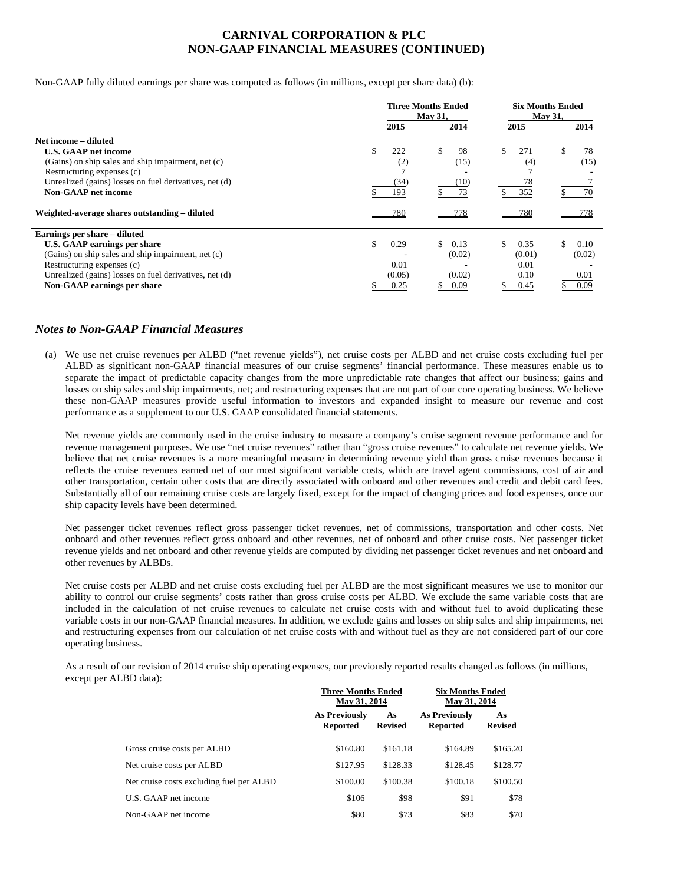## **CARNIVAL CORPORATION & PLC NON-GAAP FINANCIAL MEASURES (CONTINUED)**

Non-GAAP fully diluted earnings per share was computed as follows (in millions, except per share data) (b):

|                                                        | <b>Three Months Ended</b><br><b>May 31,</b> |            |             | <b>Six Months Ended</b><br><b>May 31,</b> |  |  |  |
|--------------------------------------------------------|---------------------------------------------|------------|-------------|-------------------------------------------|--|--|--|
|                                                        | 2015                                        | 2014       | 2015        | 2014                                      |  |  |  |
| Net income – diluted                                   |                                             |            |             |                                           |  |  |  |
| <b>U.S. GAAP net income</b>                            | \$<br>222                                   | \$<br>98   | \$<br>271   | 78                                        |  |  |  |
| (Gains) on ship sales and ship impairment, net (c)     | (2)                                         | (15)       | (4)         | (15)                                      |  |  |  |
| Restructuring expenses (c)                             |                                             |            |             |                                           |  |  |  |
| Unrealized (gains) losses on fuel derivatives, net (d) | (34)                                        | (10)       | 78          |                                           |  |  |  |
| <b>Non-GAAP</b> net income                             | 193                                         | 73         | 352         | 70                                        |  |  |  |
| Weighted-average shares outstanding – diluted          | 780                                         | 778        | 780         | 778                                       |  |  |  |
| Earnings per share – diluted                           |                                             |            |             |                                           |  |  |  |
| U.S. GAAP earnings per share                           | \$<br>0.29                                  | \$<br>0.13 | \$.<br>0.35 | S.<br>0.10                                |  |  |  |
| (Gains) on ship sales and ship impairment, net (c)     |                                             | (0.02)     | (0.01)      | (0.02)                                    |  |  |  |
| Restructuring expenses (c)                             | 0.01                                        |            | 0.01        |                                           |  |  |  |
| Unrealized (gains) losses on fuel derivatives, net (d) | (0.05)                                      | (0.02)     | 0.10        | 0.01                                      |  |  |  |
| Non-GAAP earnings per share                            | 0.25                                        | 0.09       | 0.45        | 0.09                                      |  |  |  |

#### *Notes to Non-GAAP Financial Measures*

(a) We use net cruise revenues per ALBD ("net revenue yields"), net cruise costs per ALBD and net cruise costs excluding fuel per ALBD as significant non-GAAP financial measures of our cruise segments' financial performance. These measures enable us to separate the impact of predictable capacity changes from the more unpredictable rate changes that affect our business; gains and losses on ship sales and ship impairments, net; and restructuring expenses that are not part of our core operating business. We believe these non-GAAP measures provide useful information to investors and expanded insight to measure our revenue and cost performance as a supplement to our U.S. GAAP consolidated financial statements.

Net revenue yields are commonly used in the cruise industry to measure a company's cruise segment revenue performance and for revenue management purposes. We use "net cruise revenues" rather than "gross cruise revenues" to calculate net revenue yields. We believe that net cruise revenues is a more meaningful measure in determining revenue yield than gross cruise revenues because it reflects the cruise revenues earned net of our most significant variable costs, which are travel agent commissions, cost of air and other transportation, certain other costs that are directly associated with onboard and other revenues and credit and debit card fees. Substantially all of our remaining cruise costs are largely fixed, except for the impact of changing prices and food expenses, once our ship capacity levels have been determined.

Net passenger ticket revenues reflect gross passenger ticket revenues, net of commissions, transportation and other costs. Net onboard and other revenues reflect gross onboard and other revenues, net of onboard and other cruise costs. Net passenger ticket revenue yields and net onboard and other revenue yields are computed by dividing net passenger ticket revenues and net onboard and other revenues by ALBDs.

Net cruise costs per ALBD and net cruise costs excluding fuel per ALBD are the most significant measures we use to monitor our ability to control our cruise segments' costs rather than gross cruise costs per ALBD. We exclude the same variable costs that are included in the calculation of net cruise revenues to calculate net cruise costs with and without fuel to avoid duplicating these variable costs in our non-GAAP financial measures. In addition, we exclude gains and losses on ship sales and ship impairments, net and restructuring expenses from our calculation of net cruise costs with and without fuel as they are not considered part of our core operating business.

As a result of our revision of 2014 cruise ship operating expenses, our previously reported results changed as follows (in millions, except per ALBD data):

|                                          | <b>Three Months Ended</b><br>May 31, 2014 |                      | <b>Six Months Ended</b><br>May 31, 2014 |                      |  |  |
|------------------------------------------|-------------------------------------------|----------------------|-----------------------------------------|----------------------|--|--|
|                                          | <b>As Previously</b><br><b>Reported</b>   | As<br><b>Revised</b> | <b>As Previously</b><br><b>Reported</b> | As<br><b>Revised</b> |  |  |
| Gross cruise costs per ALBD              | \$160.80                                  | \$161.18             | \$164.89                                | \$165.20             |  |  |
| Net cruise costs per ALBD                | \$127.95                                  | \$128.33             | \$128.45                                | \$128.77             |  |  |
| Net cruise costs excluding fuel per ALBD | \$100.00                                  | \$100.38             | \$100.18                                | \$100.50             |  |  |
| U.S. GAAP net income                     | \$106                                     | \$98                 | \$91                                    | \$78                 |  |  |
| Non-GAAP net income                      | \$80                                      | \$73                 | \$83                                    | \$70                 |  |  |